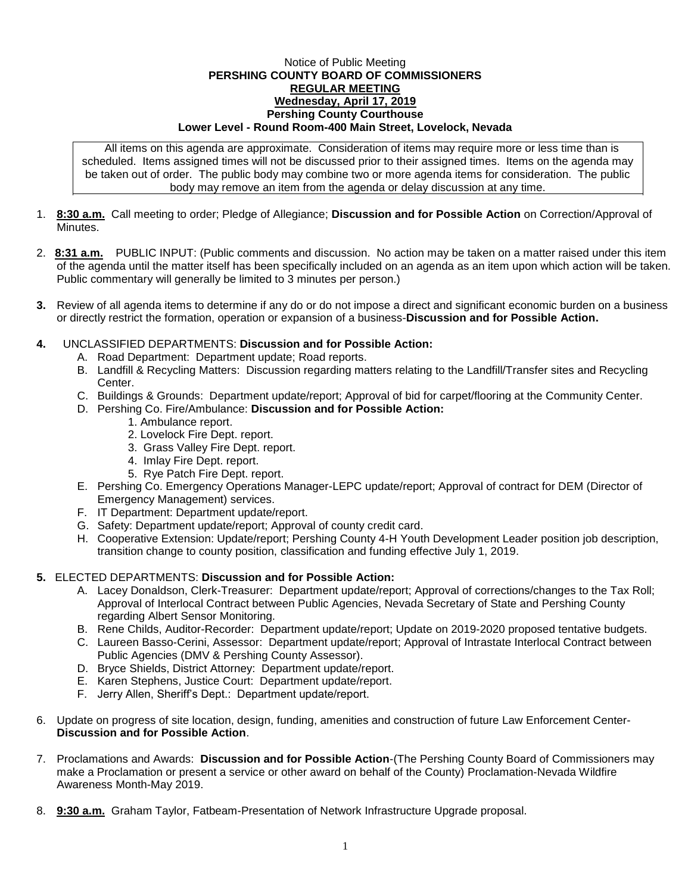## Notice of Public Meeting **PERSHING COUNTY BOARD OF COMMISSIONERS REGULAR MEETING Wednesday, April 17, 2019 Pershing County Courthouse Lower Level - Round Room-400 Main Street, Lovelock, Nevada**

All items on this agenda are approximate. Consideration of items may require more or less time than is scheduled. Items assigned times will not be discussed prior to their assigned times. Items on the agenda may be taken out of order. The public body may combine two or more agenda items for consideration. The public body may remove an item from the agenda or delay discussion at any time.

- 1. **8:30 a.m.** Call meeting to order; Pledge of Allegiance; **Discussion and for Possible Action** on Correction/Approval of **Minutes**
- 2. **8:31 a.m.** PUBLIC INPUT: (Public comments and discussion. No action may be taken on a matter raised under this item of the agenda until the matter itself has been specifically included on an agenda as an item upon which action will be taken. Public commentary will generally be limited to 3 minutes per person.)
- **3.** Review of all agenda items to determine if any do or do not impose a direct and significant economic burden on a business or directly restrict the formation, operation or expansion of a business-**Discussion and for Possible Action.**
- **4.** UNCLASSIFIED DEPARTMENTS: **Discussion and for Possible Action:**
	- A. Road Department: Department update; Road reports.
	- B. Landfill & Recycling Matters: Discussion regarding matters relating to the Landfill/Transfer sites and Recycling Center.
	- C. Buildings & Grounds: Department update/report; Approval of bid for carpet/flooring at the Community Center.
	- D. Pershing Co. Fire/Ambulance: **Discussion and for Possible Action:**
		- 1. Ambulance report.
		- 2. Lovelock Fire Dept. report.
		- 3. Grass Valley Fire Dept. report.
		- 4. Imlay Fire Dept. report.
		- 5. Rye Patch Fire Dept. report.
	- E. Pershing Co. Emergency Operations Manager-LEPC update/report; Approval of contract for DEM (Director of Emergency Management) services.
	- F. IT Department: Department update/report.
	- G. Safety: Department update/report; Approval of county credit card.
	- H. Cooperative Extension: Update/report; Pershing County 4-H Youth Development Leader position job description, transition change to county position, classification and funding effective July 1, 2019.
- **5.** ELECTED DEPARTMENTS: **Discussion and for Possible Action:**
	- A. Lacey Donaldson, Clerk-Treasurer: Department update/report; Approval of corrections/changes to the Tax Roll; Approval of Interlocal Contract between Public Agencies, Nevada Secretary of State and Pershing County regarding Albert Sensor Monitoring.
	- B. Rene Childs, Auditor-Recorder: Department update/report; Update on 2019-2020 proposed tentative budgets.
	- C. Laureen Basso-Cerini, Assessor: Department update/report; Approval of Intrastate Interlocal Contract between Public Agencies (DMV & Pershing County Assessor).
	- D. Bryce Shields, District Attorney: Department update/report.
	- E. Karen Stephens, Justice Court: Department update/report.
	- F. Jerry Allen, Sheriff's Dept.: Department update/report.
- 6. Update on progress of site location, design, funding, amenities and construction of future Law Enforcement Center-**Discussion and for Possible Action**.
- 7. Proclamations and Awards: **Discussion and for Possible Action**-(The Pershing County Board of Commissioners may make a Proclamation or present a service or other award on behalf of the County) Proclamation-Nevada Wildfire Awareness Month-May 2019.
- 8. **9:30 a.m.** Graham Taylor, Fatbeam-Presentation of Network Infrastructure Upgrade proposal.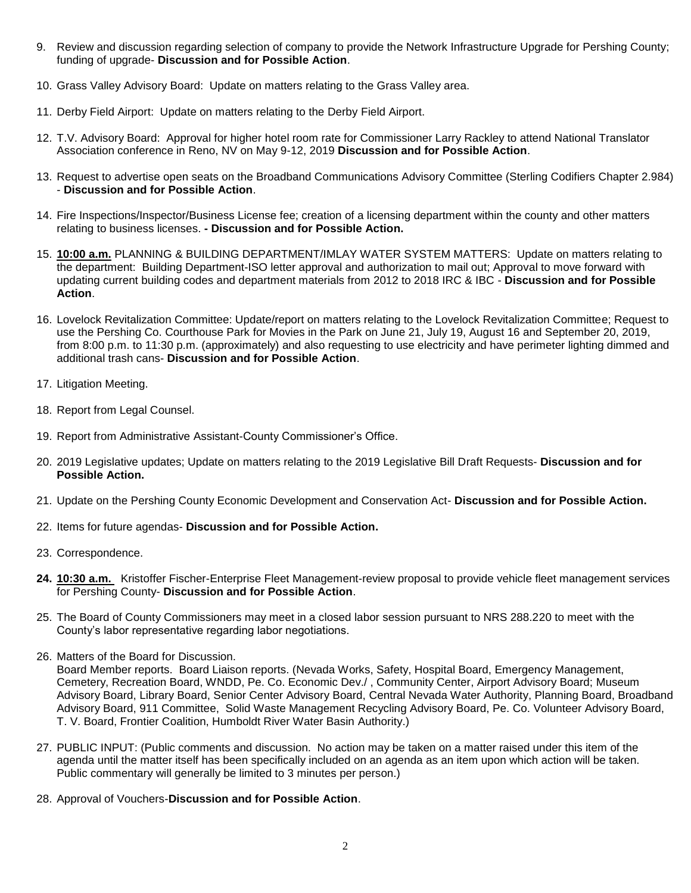- 9. Review and discussion regarding selection of company to provide the Network Infrastructure Upgrade for Pershing County; funding of upgrade- **Discussion and for Possible Action**.
- 10. Grass Valley Advisory Board: Update on matters relating to the Grass Valley area.
- 11. Derby Field Airport: Update on matters relating to the Derby Field Airport.
- 12. T.V. Advisory Board: Approval for higher hotel room rate for Commissioner Larry Rackley to attend National Translator Association conference in Reno, NV on May 9-12, 2019 **Discussion and for Possible Action**.
- 13. Request to advertise open seats on the Broadband Communications Advisory Committee (Sterling Codifiers Chapter 2.984) - **Discussion and for Possible Action**.
- 14. Fire Inspections/Inspector/Business License fee; creation of a licensing department within the county and other matters relating to business licenses. **- Discussion and for Possible Action.**
- 15. **10:00 a.m.** PLANNING & BUILDING DEPARTMENT/IMLAY WATER SYSTEM MATTERS: Update on matters relating to the department: Building Department-ISO letter approval and authorization to mail out; Approval to move forward with updating current building codes and department materials from 2012 to 2018 IRC & IBC - **Discussion and for Possible Action**.
- 16. Lovelock Revitalization Committee: Update/report on matters relating to the Lovelock Revitalization Committee; Request to use the Pershing Co. Courthouse Park for Movies in the Park on June 21, July 19, August 16 and September 20, 2019, from 8:00 p.m. to 11:30 p.m. (approximately) and also requesting to use electricity and have perimeter lighting dimmed and additional trash cans- **Discussion and for Possible Action**.
- 17. Litigation Meeting.
- 18. Report from Legal Counsel.
- 19. Report from Administrative Assistant-County Commissioner's Office.
- 20. 2019 Legislative updates; Update on matters relating to the 2019 Legislative Bill Draft Requests- **Discussion and for Possible Action.**
- 21. Update on the Pershing County Economic Development and Conservation Act- **Discussion and for Possible Action.**
- 22. Items for future agendas- **Discussion and for Possible Action.**
- 23. Correspondence.
- **24. 10:30 a.m.** Kristoffer Fischer-Enterprise Fleet Management-review proposal to provide vehicle fleet management services for Pershing County- **Discussion and for Possible Action**.
- 25. The Board of County Commissioners may meet in a closed labor session pursuant to NRS 288.220 to meet with the County's labor representative regarding labor negotiations.
- 26. Matters of the Board for Discussion.

Board Member reports. Board Liaison reports. (Nevada Works, Safety, Hospital Board, Emergency Management, Cemetery, Recreation Board, WNDD, Pe. Co. Economic Dev./ , Community Center, Airport Advisory Board; Museum Advisory Board, Library Board, Senior Center Advisory Board, Central Nevada Water Authority, Planning Board, Broadband Advisory Board, 911 Committee, Solid Waste Management Recycling Advisory Board, Pe. Co. Volunteer Advisory Board, T. V. Board, Frontier Coalition, Humboldt River Water Basin Authority.)

- 27. PUBLIC INPUT: (Public comments and discussion. No action may be taken on a matter raised under this item of the agenda until the matter itself has been specifically included on an agenda as an item upon which action will be taken. Public commentary will generally be limited to 3 minutes per person.)
- 28. Approval of Vouchers-**Discussion and for Possible Action**.